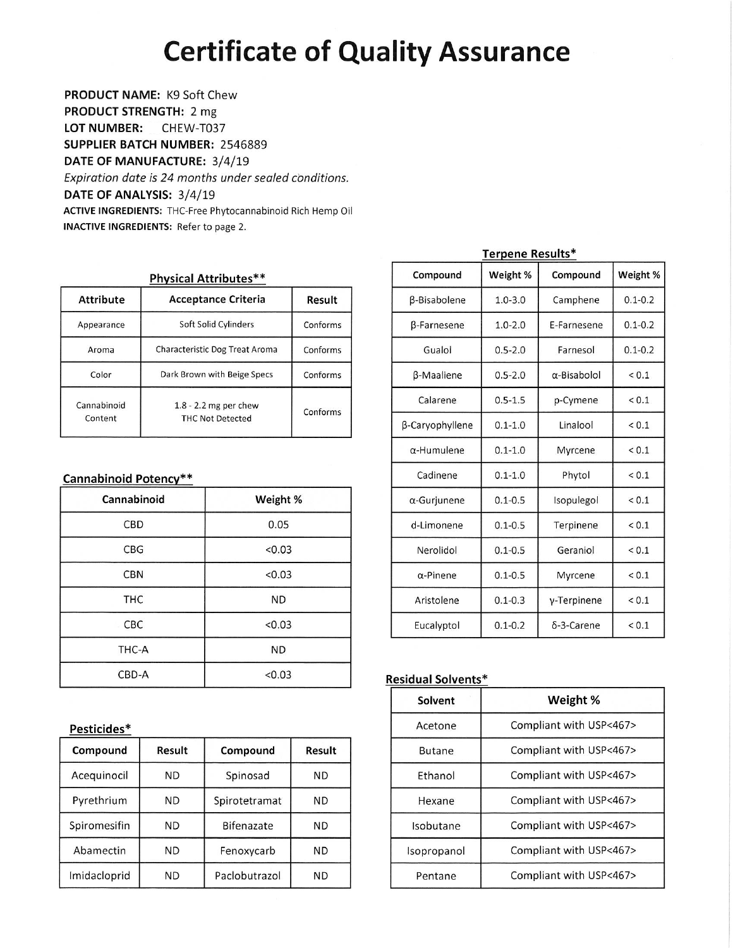## **Certificate of Quality Assurance**

PRODUCT NAME: K9 Soft Chew PRODUCT STRENGTH: 2 mg **LOT NUMBER:** CHEW-T037 SUPPLIER BATCH NUMBER: 2546889 DATE OF MANUFACTURE: 3/4/19 Expiration date is 24 months under sealed conditions. DATE OF ANALYSIS: 3/4/19 ACTIVE INGREDIENTS: THC-Free Phytocannabinoid Rich Hemp Oil **INACTIVE INGREDIENTS:** Refer to page 2.

| Physical Attributes**  |                                                    |          |  |  |  |  |
|------------------------|----------------------------------------------------|----------|--|--|--|--|
| <b>Attribute</b>       | <b>Acceptance Criteria</b>                         | Result   |  |  |  |  |
| Appearance             | Soft Solid Cylinders                               | Conforms |  |  |  |  |
| Aroma                  | Characteristic Dog Treat Aroma                     | Conforms |  |  |  |  |
| Color                  | Dark Brown with Beige Specs                        | Conforms |  |  |  |  |
| Cannabinoid<br>Content | $1.8 - 2.2$ mg per chew<br><b>THC Not Detected</b> | Conforms |  |  |  |  |

#### **Cannabinoid Potency\*\***

| Cannabinoid | Weight %  |
|-------------|-----------|
| CBD         | 0.05      |
| <b>CBG</b>  | < 0.03    |
| <b>CBN</b>  | < 0.03    |
| <b>THC</b>  | <b>ND</b> |
| CBC         | < 0.03    |
| THC-A       | <b>ND</b> |
| CBD-A       | < 0.03    |

#### Pesticides\*

| Compound     | Result    | Compound      | Result    |  |
|--------------|-----------|---------------|-----------|--|
| Acequinocil  | <b>ND</b> | Spinosad      | <b>ND</b> |  |
| Pyrethrium   | ND.       | Spirotetramat | ΝD        |  |
| Spiromesifin | <b>ND</b> | Bifenazate    | ND        |  |
| Abamectin    | <b>ND</b> | Fenoxycarb    | <b>ND</b> |  |
| Imidacloprid | <b>ND</b> | Paclobutrazol | ND        |  |

| Compound            | Weight %    | Compound            | Weight %    |
|---------------------|-------------|---------------------|-------------|
| <b>B-Bisabolene</b> | $1.0 - 3.0$ | Camphene            | $0.1 - 0.2$ |
| β-Farnesene         | $1.0 - 2.0$ | E-Farnesene         | $0.1 - 0.2$ |
| Gualol              | $0.5 - 2.0$ | Farneso             | $0.1 - 0.2$ |
| β-Maaliene          | $0.5 - 2.0$ | $\alpha$ -Bisabolol | < 0.1       |
| Calarene            | $0.5 - 1.5$ | p-Cymene            | ${}_{0.1}$  |
| β-Caryophyllene     | $0.1 - 1.0$ | Linalool            | ${}_{0.1}$  |
| $\alpha$ -Humulene  | $0.1 - 1.0$ | Myrcene             | ${}_{0.1}$  |
| Cadinene            | $0.1 - 1.0$ | Phytol              | ${}_{0.1}$  |
| α-Gurjunene         | $0.1 - 0.5$ | Isopulegol          | ${}_{0.1}$  |
| d-Limonene          | $0.1 - 0.5$ | Terpinene           | ${}_{0.1}$  |
| Nerolidol           | $0.1 - 0.5$ | Geraniol            | ${}_{0.1}$  |
| $\alpha$ -Pinene    | $0.1 - 0.5$ | Myrcene             | ${}_{0.1}$  |
| Aristolene          | $0.1 - 0.3$ | y-Terpinene         | ${}_{0.1}$  |
| Eucalyptol          | $0.1 - 0.2$ | δ-3-Carene          | ${}_{0.1}$  |

**Terpene Results\*** 

#### **Residual Solvents\***

| Solvent       | Weight %                |
|---------------|-------------------------|
| Acetone       | Compliant with USP<467> |
| <b>Butane</b> | Compliant with USP<467> |
| Ethanol       | Compliant with USP<467> |
| Hexane        | Compliant with USP<467> |
| Isobutane     | Compliant with USP<467> |
| Isopropanol   | Compliant with USP<467> |
| Pentane       | Compliant with USP<467> |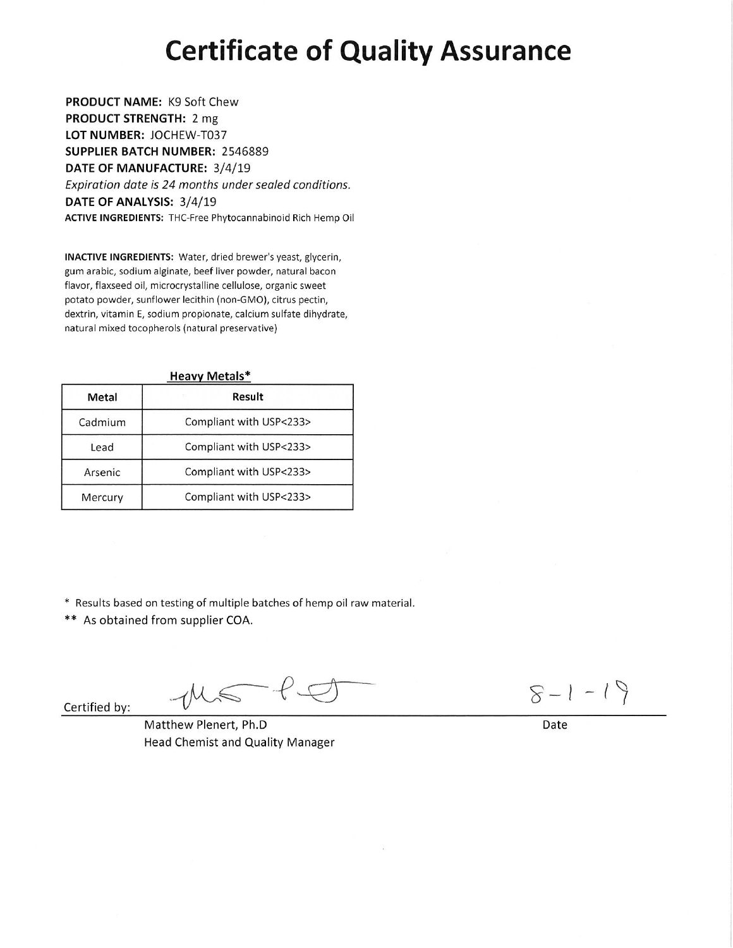## **Certificate of Quality Assurance**

PRODUCT NAME: K9 Soft Chew PRODUCT STRENGTH: 2 mg LOT NUMBER: JOCHEW-T037 SUPPLIER BATCH NUMBER: 2546889 DATE OF MANUFACTURE: 3/4/19 Expiration date is 24 months under sealed conditions. DATE OF ANALYSIS: 3/4/19 ACTIVE INGREDIENTS: THC-Free Phytocannabinoid Rich Hemp Oil

INACTIVE INGREDIENTS: Water, dried brewer's yeast, glycerin, gum arabic, sodium alginate, beef liver powder, natural bacon flavor, flaxseed oil, microcrystalline cellulose, organic sweet potato powder, sunflower lecithin (non-GMO), citrus pectin, dextrin, vitamin E, sodium propionate, calcium sulfate dihydrate, natural mixed tocopherols (natural preservative)

| <b>Heavy Metals*</b> |                         |  |  |  |  |
|----------------------|-------------------------|--|--|--|--|
| Metal                | Result                  |  |  |  |  |
| Cadmium              | Compliant with USP<233> |  |  |  |  |
| Lead                 | Compliant with USP<233> |  |  |  |  |
| Arsenic              | Compliant with USP<233> |  |  |  |  |
| Mercury              | Compliant with USP<233> |  |  |  |  |

\* Results based on testing of multiple batches of hemp oil raw material.

\*\* As obtained from supplier COA.

Certified by:

 $f$  $\mathbb{Z}$ 

 $8 - 1 - 19$ 

Date

Matthew Plenert, Ph.D Head Chemist and Quality Manager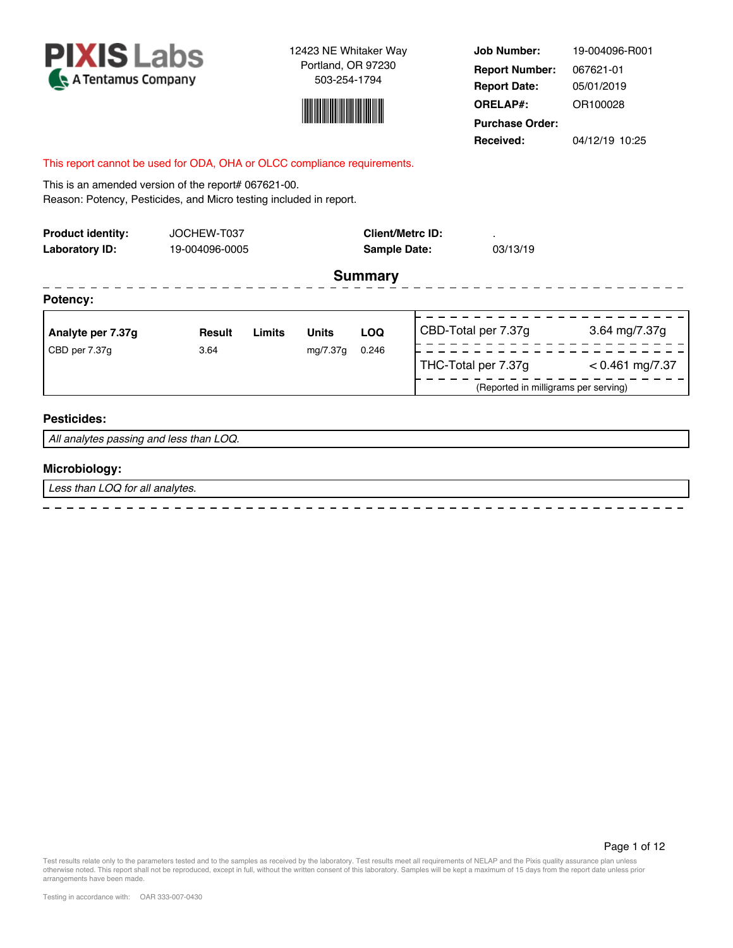



**Job Number: Report Date: ORELAP#:** 05/01/2019 OR100028 **Received:** 04/12/19 10:25 **Purchase Order:** 19-004096-R001 **Report Number:** 067621-01

#### This report cannot be used for ODA, OHA or OLCC compliance requirements.

This is an amended version of the report# 067621-00. Reason: Potency, Pesticides, and Micro testing included in report.

| <b>Product identity:</b><br>Laboratory ID: | JOCHEW-T037   | 19-004096-0005 |              |            | <b>Client/Metrc ID:</b><br><b>Sample Date:</b> | $\blacksquare$<br>03/13/19           |                   |
|--------------------------------------------|---------------|----------------|--------------|------------|------------------------------------------------|--------------------------------------|-------------------|
| <b>Summary</b>                             |               |                |              |            |                                                |                                      |                   |
| Potency:                                   |               |                |              |            |                                                |                                      |                   |
| Analyte per 7.37g                          | <b>Result</b> | Limits         | <b>Units</b> | <b>LOQ</b> |                                                | CBD-Total per 7.37g                  | 3.64 mg/7.37g     |
| CBD per 7.37g                              | 3.64          |                | mg/7.37g     | 0.246      |                                                | THC-Total per 7.37g                  | $< 0.461$ mg/7.37 |
|                                            |               |                |              |            |                                                | (Reported in milligrams per serving) |                   |
| <b>Pesticides:</b>                         |               |                |              |            |                                                |                                      |                   |
| All analytes passing and less than LOQ.    |               |                |              |            |                                                |                                      |                   |

#### **Microbiology:**

*Less than LOQ for all analytes.*

Test results relate only to the parameters tested and to the samples as received by the laboratory. Test results meet all requirements of NELAP and the Pixis quality assurance plan unless<br>otherwise noted. This report shall arrangements have been made.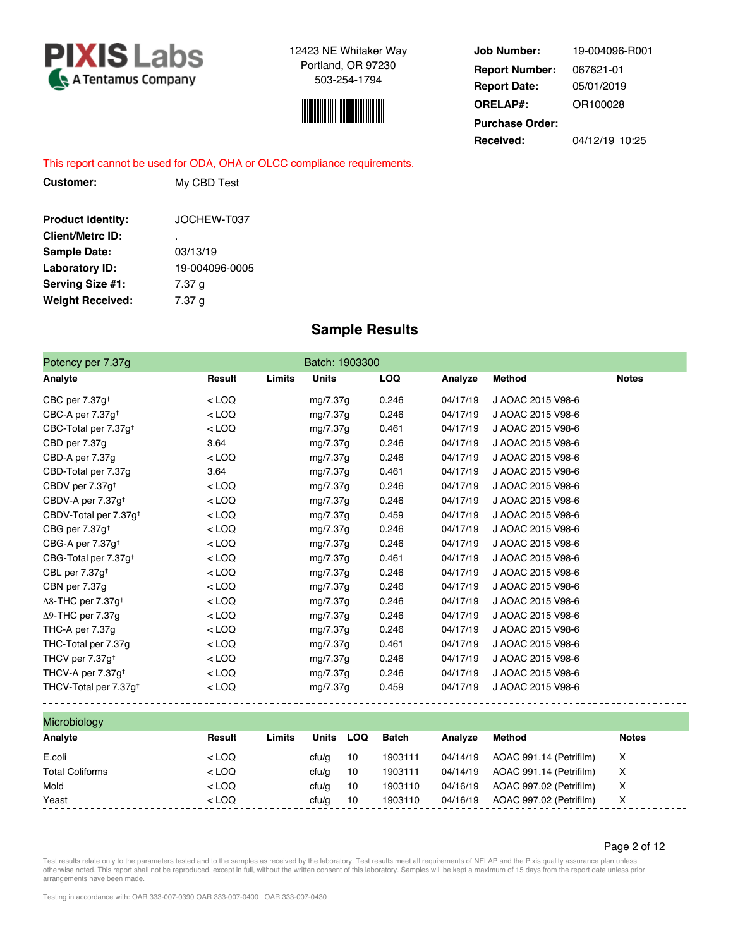



**Job Number: Report Date: ORELAP#:** 05/01/2019 OR100028 **Received:** 04/12/19 10:25 **Purchase Order:** 19-004096-R001 **Report Number:** 067621-01

This report cannot be used for ODA, OHA or OLCC compliance requirements.

| <b>Product identity:</b> | JOCHEW-T037    |
|--------------------------|----------------|
| <b>Client/Metrc ID:</b>  | ٠              |
| <b>Sample Date:</b>      | 03/13/19       |
| <b>Laboratory ID:</b>    | 19-004096-0005 |
| Serving Size #1:         | 7.37 q         |
| <b>Weight Received:</b>  | 7.37 g         |

**Customer:** My CBD Test

### **Sample Results**

| Batch: 1903300<br>Potency per 7.37g   |         |        |              |     |              |          |                         |              |
|---------------------------------------|---------|--------|--------------|-----|--------------|----------|-------------------------|--------------|
| Analyte                               | Result  | Limits | <b>Units</b> |     | LOQ          | Analyze  | <b>Method</b>           | <b>Notes</b> |
| CBC per 7.37g <sup>+</sup>            | $<$ LOQ |        | mg/7.37g     |     | 0.246        | 04/17/19 | J AOAC 2015 V98-6       |              |
| CBC-A per $7.37g†$                    | $<$ LOQ |        | mg/7.37g     |     | 0.246        | 04/17/19 | J AOAC 2015 V98-6       |              |
| CBC-Total per 7.37g <sup>+</sup>      | $<$ LOQ |        | mg/7.37g     |     | 0.461        | 04/17/19 | J AOAC 2015 V98-6       |              |
| CBD per 7.37g                         | 3.64    |        | mg/7.37g     |     | 0.246        | 04/17/19 | J AOAC 2015 V98-6       |              |
| CBD-A per 7.37g                       | $<$ LOQ |        | mg/7.37g     |     | 0.246        | 04/17/19 | J AOAC 2015 V98-6       |              |
| CBD-Total per 7.37g                   | 3.64    |        | mg/7.37g     |     | 0.461        | 04/17/19 | J AOAC 2015 V98-6       |              |
| CBDV per 7.37g <sup>+</sup>           | $<$ LOQ |        | mg/7.37g     |     | 0.246        | 04/17/19 | J AOAC 2015 V98-6       |              |
| CBDV-A per 7.37g <sup>+</sup>         | $<$ LOQ |        | mg/7.37g     |     | 0.246        | 04/17/19 | J AOAC 2015 V98-6       |              |
| CBDV-Total per 7.37g <sup>+</sup>     | $<$ LOQ |        | mg/7.37g     |     | 0.459        | 04/17/19 | J AOAC 2015 V98-6       |              |
| CBG per 7.37g <sup>+</sup>            | $<$ LOQ |        | mg/7.37g     |     | 0.246        | 04/17/19 | J AOAC 2015 V98-6       |              |
| CBG-A per $7.37g†$                    | $<$ LOQ |        | mg/7.37g     |     | 0.246        | 04/17/19 | J AOAC 2015 V98-6       |              |
| CBG-Total per 7.37g <sup>+</sup>      | $<$ LOQ |        | mg/7.37g     |     | 0.461        | 04/17/19 | J AOAC 2015 V98-6       |              |
| CBL per 7.37g <sup>+</sup>            | $<$ LOQ |        | mg/7.37g     |     | 0.246        | 04/17/19 | J AOAC 2015 V98-6       |              |
| CBN per 7.37g                         | $<$ LOQ |        | mg/7.37g     |     | 0.246        | 04/17/19 | J AOAC 2015 V98-6       |              |
| $\Delta$ 8-THC per 7.37g <sup>+</sup> | $<$ LOQ |        | mg/7.37g     |     | 0.246        | 04/17/19 | J AOAC 2015 V98-6       |              |
| $\Delta$ 9-THC per 7.37g              | $<$ LOQ |        | mg/7.37g     |     | 0.246        | 04/17/19 | J AOAC 2015 V98-6       |              |
| THC-A per 7.37g                       | $<$ LOQ |        | mg/7.37g     |     | 0.246        | 04/17/19 | J AOAC 2015 V98-6       |              |
| THC Total per 7.37g                   | $<$ LOQ |        | mg/7.37g     |     | 0.461        | 04/17/19 | J AOAC 2015 V98-6       |              |
| THCV per 7.37g <sup>+</sup>           | $<$ LOQ |        | mg/7.37g     |     | 0.246        | 04/17/19 | J AOAC 2015 V98-6       |              |
| THCV-A per 7.37g <sup>+</sup>         | $<$ LOQ |        | mg/7.37g     |     | 0.246        | 04/17/19 | J AOAC 2015 V98-6       |              |
| THCV Total per 7.37g <sup>+</sup>     | $<$ LOQ |        | mg/7.37g     |     | 0.459        | 04/17/19 | J AOAC 2015 V98-6       |              |
| Microbiology                          |         |        |              |     |              |          |                         |              |
| Analyte                               | Result  | Limits | <b>Units</b> | LOQ | <b>Batch</b> | Analyze  | <b>Method</b>           | <b>Notes</b> |
| E.coli                                | $<$ LOQ |        | ctu/g        | 10  | 1903111      | 04/14/19 | AOAC 991.14 (Petrifilm) | X            |

Test results relate only to the parameters tested and to the samples as received by the laboratory. Test results meet all requirements of NELAP and the Pixis quality assurance plan unless otherwise noted. This report shall not be reproduced, except in full, without the written consent of this laboratory. Samples will be kept a maximum of 15 days from the report date unless prior arrangements have been made.

Total Coliforms **and Coliforms**  $\lt$  LOQ cfu/g 10 1903111 04/14/19 AOAC 991.14 (Petrifilm) X Mold **Analytic COV** Cfu/g 10 1903110 04/16/19 AOAC 997.02 (Petrifilm) X Yeast < LOQ cfu/g 10 1903110 04/16/19 AOAC 997.02 (Petrifilm) X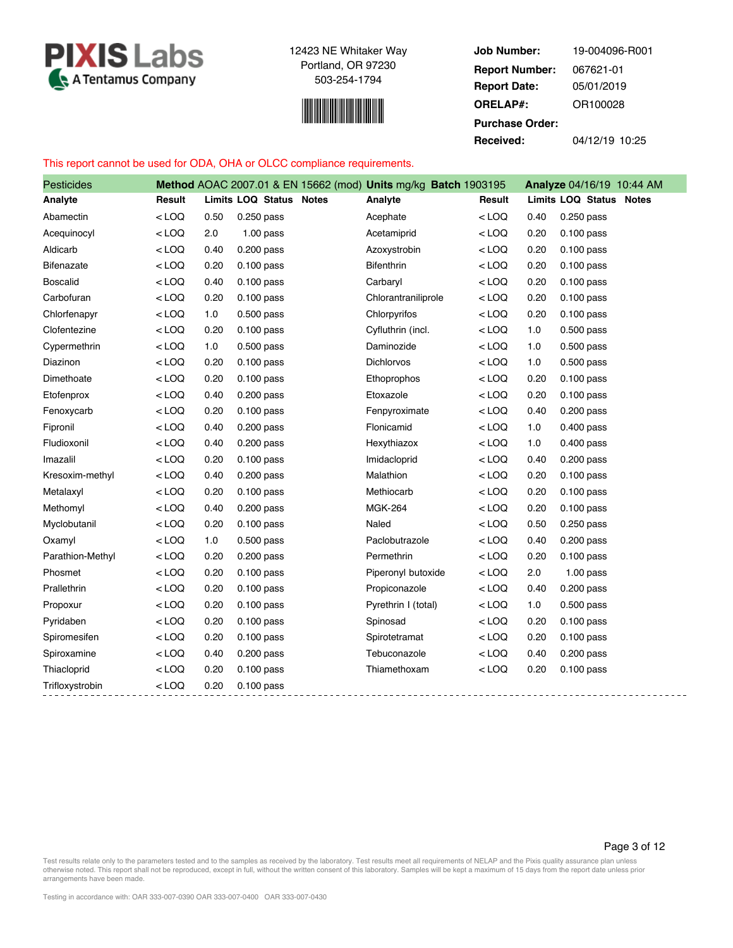



**Job Number: Report Date: ORELAP#:** 05/01/2019 OR100028 **Received:** 04/12/19 10:25 **Purchase Order:** 19-004096-R001 **Report Number:** 067621-01

#### This report cannot be used for ODA, OHA or OLCC compliance requirements.

| <b>Pesticides</b> |         |      |                         | Method AOAC 2007.01 & EN 15662 (mod) Units mg/kg Batch 1903195 |         |      | Analyze 04/16/19 10:44 AM |
|-------------------|---------|------|-------------------------|----------------------------------------------------------------|---------|------|---------------------------|
| Analyte           | Result  |      | Limits LOQ Status Notes | Analyte                                                        | Result  |      | Limits LOQ Status Notes   |
| Abamectin         | $<$ LOQ | 0.50 | $0.250$ pass            | Acephate                                                       | $<$ LOQ | 0.40 | 0.250 pass                |
| Acequinocyl       | $<$ LOQ | 2.0  | $1.00$ pass             | Acetamiprid                                                    | $<$ LOQ | 0.20 | $0.100$ pass              |
| Aldicarb          | $<$ LOQ | 0.40 | $0.200$ pass            | Azoxystrobin                                                   | $<$ LOQ | 0.20 | $0.100$ pass              |
| <b>Bifenazate</b> | $<$ LOQ | 0.20 | $0.100$ pass            | <b>Bifenthrin</b>                                              | $<$ LOQ | 0.20 | $0.100$ pass              |
| <b>Boscalid</b>   | $<$ LOQ | 0.40 | $0.100$ pass            | Carbaryl                                                       | $<$ LOQ | 0.20 | $0.100$ pass              |
| Carbofuran        | $<$ LOQ | 0.20 | $0.100$ pass            | Chlorantraniliprole                                            | $<$ LOQ | 0.20 | $0.100$ pass              |
| Chlorfenapyr      | $<$ LOQ | 1.0  | $0.500$ pass            | Chlorpyrifos                                                   | $<$ LOQ | 0.20 | $0.100$ pass              |
| Clofentezine      | $<$ LOQ | 0.20 | $0.100$ pass            | Cyfluthrin (incl.                                              | $<$ LOQ | 1.0  | $0.500$ pass              |
| Cypermethrin      | $<$ LOQ | 1.0  | $0.500$ pass            | Daminozide                                                     | $<$ LOQ | 1.0  | $0.500$ pass              |
| Diazinon          | $<$ LOQ | 0.20 | $0.100$ pass            | Dichlorvos                                                     | $<$ LOQ | 1.0  | $0.500$ pass              |
| Dimethoate        | $<$ LOQ | 0.20 | $0.100$ pass            | Ethoprophos                                                    | $<$ LOQ | 0.20 | $0.100$ pass              |
| Etofenprox        | $<$ LOQ | 0.40 | 0.200 pass              | Etoxazole                                                      | $<$ LOQ | 0.20 | $0.100$ pass              |
| Fenoxycarb        | $<$ LOQ | 0.20 | $0.100$ pass            | Fenpyroximate                                                  | $<$ LOQ | 0.40 | 0.200 pass                |
| Fipronil          | $<$ LOQ | 0.40 | $0.200$ pass            | Flonicamid                                                     | $<$ LOQ | 1.0  | $0.400$ pass              |
| Fludioxonil       | $<$ LOQ | 0.40 | $0.200$ pass            | Hexythiazox                                                    | $<$ LOQ | 1.0  | $0.400$ pass              |
| Imazalil          | $<$ LOQ | 0.20 | $0.100$ pass            | Imidacloprid                                                   | $<$ LOQ | 0.40 | $0.200$ pass              |
| Kresoxim-methyl   | $<$ LOQ | 0.40 | $0.200$ pass            | Malathion                                                      | $<$ LOQ | 0.20 | $0.100$ pass              |
| Metalaxyl         | $<$ LOQ | 0.20 | $0.100$ pass            | Methiocarb                                                     | $<$ LOQ | 0.20 | $0.100$ pass              |
| Methomyl          | $<$ LOQ | 0.40 | $0.200$ pass            | <b>MGK-264</b>                                                 | $<$ LOQ | 0.20 | $0.100$ pass              |
| Myclobutanil      | $<$ LOQ | 0.20 | $0.100$ pass            | Naled                                                          | $<$ LOQ | 0.50 | 0.250 pass                |
| Oxamyl            | $<$ LOQ | 1.0  | $0.500$ pass            | Paclobutrazole                                                 | $<$ LOQ | 0.40 | $0.200$ pass              |
| Parathion-Methyl  | $<$ LOQ | 0.20 | $0.200$ pass            | Permethrin                                                     | $<$ LOQ | 0.20 | $0.100$ pass              |
| Phosmet           | $<$ LOQ | 0.20 | $0.100$ pass            | Piperonyl butoxide                                             | $<$ LOQ | 2.0  | $1.00$ pass               |
| Prallethrin       | $<$ LOQ | 0.20 | $0.100$ pass            | Propiconazole                                                  | $<$ LOQ | 0.40 | $0.200$ pass              |
| Propoxur          | $<$ LOQ | 0.20 | $0.100$ pass            | Pyrethrin I (total)                                            | $<$ LOQ | 1.0  | $0.500$ pass              |
| Pyridaben         | $<$ LOQ | 0.20 | $0.100$ pass            | Spinosad                                                       | $<$ LOQ | 0.20 | $0.100$ pass              |
| Spiromesifen      | $<$ LOQ | 0.20 | $0.100$ pass            | Spirotetramat                                                  | $<$ LOQ | 0.20 | $0.100$ pass              |
| Spiroxamine       | $<$ LOQ | 0.40 | $0.200$ pass            | Tebuconazole                                                   | $<$ LOQ | 0.40 | $0.200$ pass              |
| Thiacloprid       | $<$ LOQ | 0.20 | $0.100$ pass            | Thiamethoxam                                                   | $<$ LOQ | 0.20 | $0.100$ pass              |
| Trifloxystrobin   | $<$ LOQ | 0.20 | $0.100$ pass            |                                                                |         |      |                           |

Test results relate only to the parameters tested and to the samples as received by the laboratory. Test results meet all requirements of NELAP and the Pixis quality assurance plan unless<br>otherwise noted. This report shall arrangements have been made.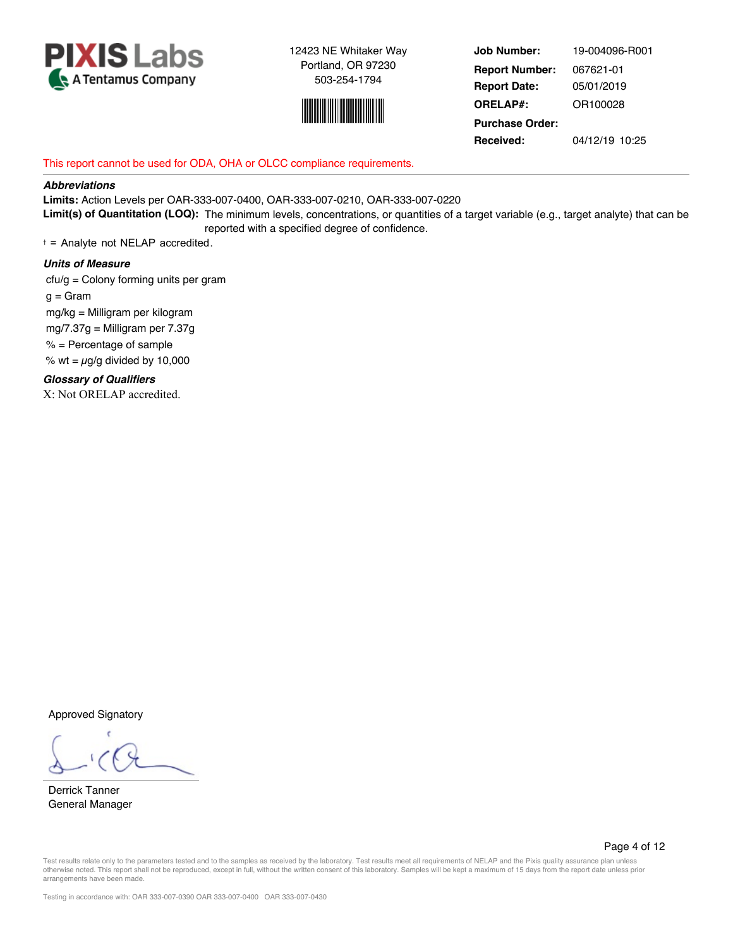



**Job Number: Report Date: ORELAP#:** 05/01/2019 OR100028 **Received:** 04/12/19 10:25 **Purchase Order:** 19-004096-R001 **Report Number:** 067621-01

#### This report cannot be used for ODA, OHA or OLCC compliance requirements.

#### *Abbreviations*

**Limits:** Action Levels per OAR-333-007-0400, OAR-333-007-0210, OAR-333-007-0220 **Limit(s) of Quantitation (LOQ):** The minimum levels, concentrations, or quantities of a target variable (e.g., target analyte) that can be reported with a specified degree of confidence.

 $t =$  Analyte not NELAP accredited.

#### *Units of Measure*

 cfu/g = Colony forming units per gram  $g =$ Gram mg/kg = Milligram per kilogram mg/7.37g = Milligram per 7.37g  $%$  = Percentage of sample % wt =  $\mu$ g/g divided by 10,000 *Glossary of Qualifiers*

X: Not ORELAP accredited.

Approved Signatory

Derrick Tanner General Manager

Page 4 of 12

Test results relate only to the parameters tested and to the samples as received by the laboratory. Test results meet all requirements of NELAP and the Pixis quality assurance plan unless otherwise noted. This report shall not be reproduced, except in full, without the written consent of this laboratory. Samples will be kept a maximum of 15 days from the report date unless prior arrangements have been made.